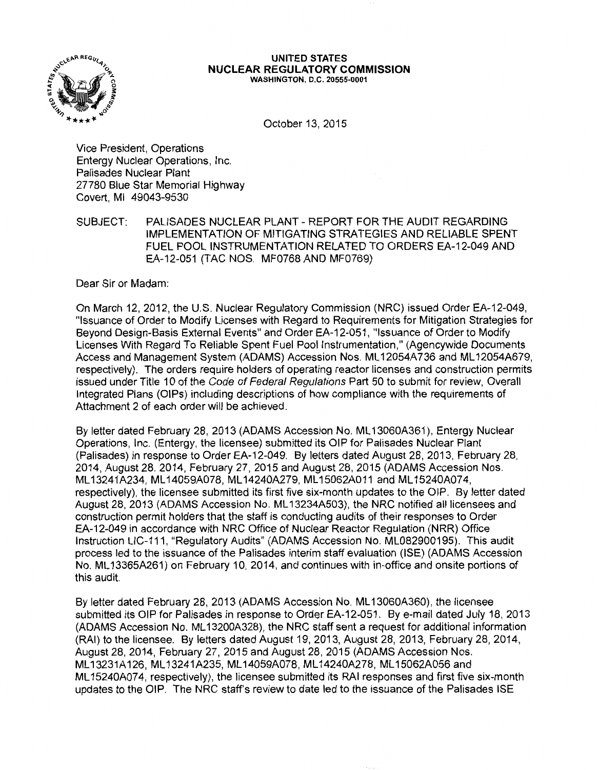

#### **UNITED STATES NUCLEAR REGULATORY COMMISSION**  WASHINGTON, D.C. 20555-0001

October 13, 2015

Vice President, Operations Entergy Nuclear Operations, Inc. Palisades Nuclear Plant 27780 Blue Star Memorial Highway Covert, Ml 49043-9530

SUBJECT: PALISADES NUCLEAR PLANT - REPORT FOR THE AUDIT REGARDING IMPLEMENTATION OF MITIGATING STRATEGIES AND RELIABLE SPENT FUEL POOL INSTRUMENTATION RELATED TO ORDERS EA-12-049 AND EA-12-051 (TAC NOS. MF0768 AND MF0769)

Dear Sir or Madam:

On March 12, 2012, the U.S. Nuclear Regulatory Commission (NRC) issued Order EA-12-049, "Issuance of Order to Modify Licenses with Regard to Requirements for Mitigation Strategies for Beyond Design-Basis External Events" and Order EA-12-051, "Issuance of Order to Modify Licenses With Regard To Reliable Spent Fuel Pool Instrumentation," (Agencywide Documents Access and Management System (ADAMS) Accession Nos. ML 12054A736 and ML 12054A679, respectively). The orders require holders of operating reactor licenses and construction permits issued under Title 10 of the Code of Federal Regulations Part 50 to submit for review, Overall Integrated Plans (OIPs) including descriptions of how compliance with the requirements of Attachment 2 of each order will be achieved.

By letter dated February 28, 2013 (ADAMS Accession No. ML13060A361), Entergy Nuclear Operations, Inc. (Entergy, the licensee) submitted its OIP for Palisades Nuclear Plant (Palisades) in response to Order EA-12-049. By letters dated August 28, 2013, February 28, 2014, August 28, 2014, February 27, 2015 and August 28, 2015 (ADAMS Accession Nos. ML13241A234, ML14059A078, ML14240A279, ML15062A011 and ML15240A074, respectively), the licensee submitted its first five six-month updates to the OIP. By letter dated August 28, 2013 (ADAMS Accession No. ML 13234A503), the NRC notified all licensees and construction permit holders that the staff is conducting audits of their responses to Order EA-12-049 in accordance with NRC Office of Nuclear Reactor Regulation (NRR) Office Instruction LIC-111, "Regulatory Audits" (ADAMS Accession No. ML082900195). This audit process led to the issuance of the Palisades interim staff evaluation (ISE) (ADAMS Accession No. ML 13365A261) on February 10, 2014, and continues with in-office and onsite portions of this audit.

By letter dated February 28, 2013 (ADAMS Accession No. ML 13060A360), the licensee submitted its OIP for Palisades in response to Order EA-12-051. By e-mail dated July 18, 2013 (ADAMS Accession No. ML 13200A328), the NRC staff sent a request for additional information (RAI) to the licensee. By letters dated August 19, 2013, August 28, 2013, February 28, 2014, August 28, 2014, February 27, 2015 and August 28, 2015 (ADAMS Accession Nos. ML 13231A126, ML 13241A235, ML 14059A078, ML 14240A278, ML 15062A056 and ML15240A074, respectively), the licensee submitted its RAI responses and first five six-month updates to the OIP. The NRC staff's review to date led to the issuance of the Palisades ISE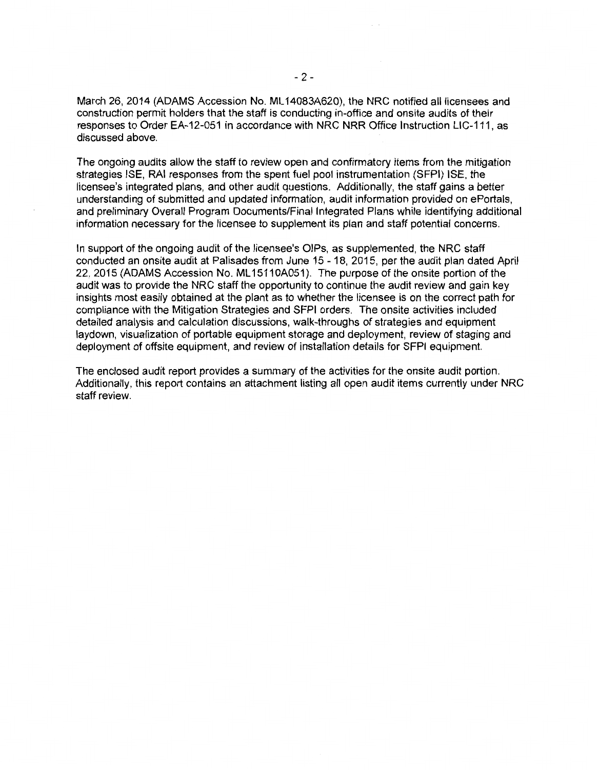March 26, 2014 (ADAMS Accession No. ML 14083A620), the NRC notified all licensees and construction permit holders that the staff is conducting in-office and onsite audits of their responses to Order EA-12-051 in accordance with NRC NRR Office Instruction LIC-111, as discussed above.

The ongoing audits allow the staff to review open and confirmatory items from the mitigation strategies ISE, RAI responses from the spent fuel pool instrumentation (SFPI) ISE, the licensee's integrated plans, and other audit questions. Additionally, the staff gains a better understanding of submitted and updated information, audit information provided on ePortals, and preliminary Overall Program Documents/Final Integrated Plans while identifying additional information necessary for the licensee to supplement its plan and staff potential concerns.

In support of the ongoing audit of the licensee's OIPs, as supplemented, the NRC staff conducted an onsite audit at Palisades from June 15 - 18, 2015, per the audit plan dated April 22, 2015 (ADAMS Accession No. ML15110A051). The purpose of the onsite portion of the audit was to provide the NRC staff the opportunity to continue the audit review and gain key insights most easily obtained at the plant as to whether the licensee is on the correct path for compliance with the Mitigation Strategies and SFPI orders. The onsite activities included detailed analysis and calculation discussions, walk-throughs of strategies and equipment laydown, visualization of portable equipment storage and deployment, review of staging and deployment of offsite equipment, and review of installation details for SFPI equipment.

The enclosed audit report provides a summary of the activities for the onsite audit portion. Additionally, this report contains an attachment listing all open audit items currently under NRC staff review.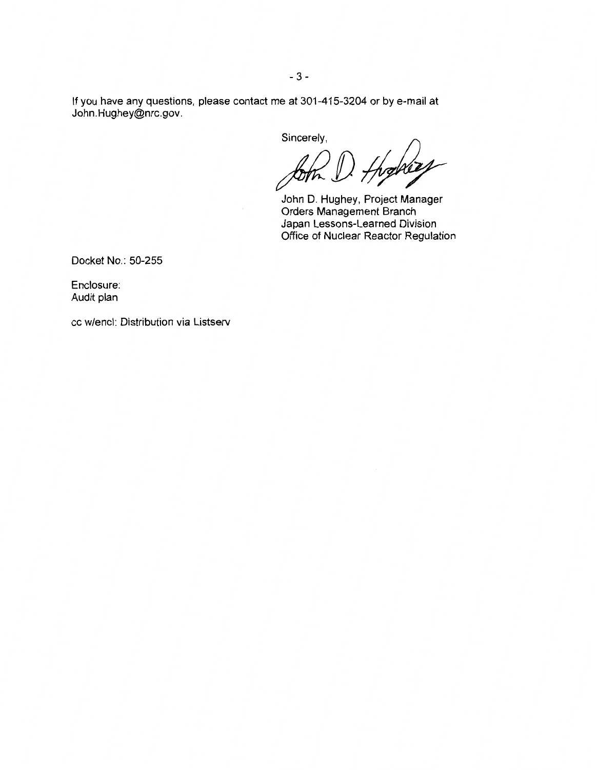If you have any questions, please contact me at 301-415-3204 or by e-mail at John.Hughey@nrc.gov.

Sincerely,

thomas

John D. Hughey, Project Manager Orders Management Branch Japan Lessons-Learned Division Office of Nuclear Reactor Regulation

Docket No.: 50-255

Enclosure: Audit plan

cc w/encl: Distribution via Listserv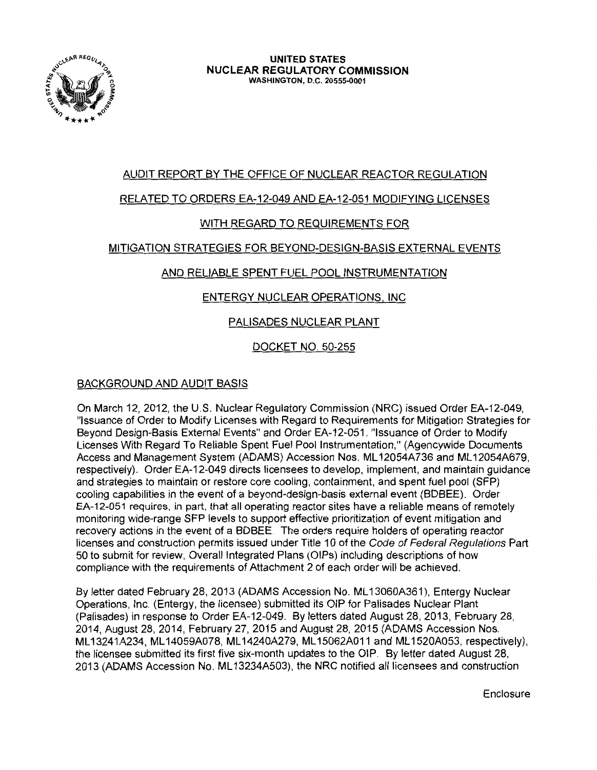

# AUDIT REPORT BY THE OFFICE OF NUCLEAR REACTOR REGULATION

# RELATED TO ORDERS EA-12-049 AND EA-12-051 MODIFYING LICENSES

# WITH REGARD TO REQUIREMENTS FOR

# MITIGATION STRATEGIES FOR BEYOND-DESIGN-BASIS EXTERNAL EVENTS

# AND RELIABLE SPENT FUEL POOL INSTRUMENTATION

# ENTERGY NUCLEAR OPERATIONS, INC

# PALISADES NUCLEAR PLANT

# DOCKET NO. 50-255

## BACKGROUND AND AUDIT BASIS

On March 12, 2012, the U.S. Nuclear Regulatory Commission (NRC) issued Order EA-12-049, "Issuance of Order to Modify Licenses with Regard to Requirements for Mitigation Strategies for Beyond Design-Basis External Events" and Order EA-12-051, "Issuance of Order to Modify Licenses With Regard To Reliable Spent Fuel Pool Instrumentation," (Agencywide Documents Access and Management System (ADAMS) Accession Nos. ML 12054A736 and ML 12054A679, respectively). Order EA-12-049 directs licensees to develop, implement, and maintain guidance and strategies to maintain or restore core cooling, containment, and spent fuel pool (SFP) cooling capabilities in the event of a beyond-design-basis external event (BDBEE). Order EA-12-051 requires, in part, that all operating reactor sites have a reliable means of remotely monitoring wide-range SFP levels to support effective prioritization of event mitigation and recovery actions in the event of a BDBEE. The orders require holders of operating reactor licenses and construction permits issued under Title 10 of the Code of Federal Regulations Part 50 to submit for review, Overall Integrated Plans (OIPs) including descriptions of how compliance with the requirements of Attachment 2 of each order will be achieved.

By letter dated February 28, 2013 (ADAMS Accession No. ML13060A361), Entergy Nuclear Operations, Inc. (Entergy, the licensee) submitted its OIP for Palisades Nuclear Plant (Palisades) in response to Order EA-12-049. By letters dated August 28, 2013, February 28, 2014, August 28, 2014, February 27, 2015 and August 28, 2015 (ADAMS Accession Nos. ML 13241A234, ML 14059A078, ML 14240A279, ML 15062A011 and ML 1520A053, respectively), the licensee submitted its first five six-month updates to the OIP. By letter dated August 28, 2013 (ADAMS Accession No. ML 13234A503), the NRC notified all licensees and construction

**Enclosure**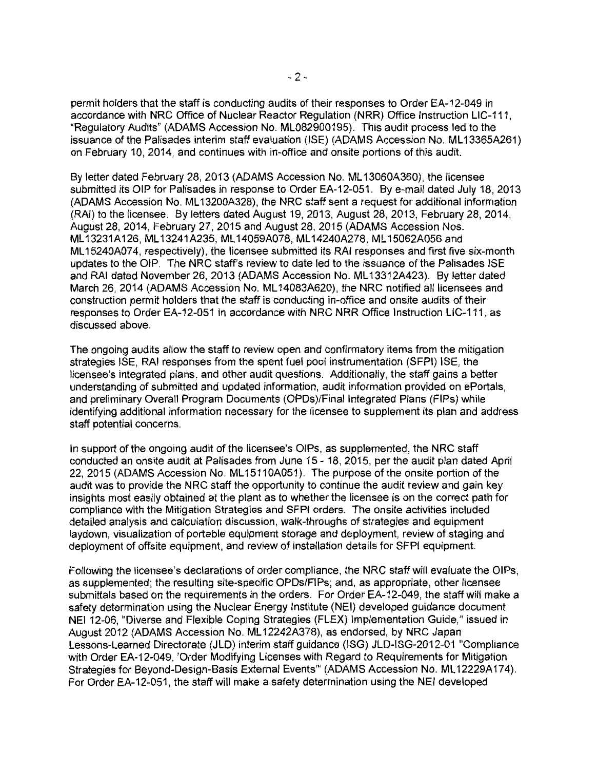permit holders that the staff is conducting audits of their responses to Order EA-12-049 in accordance with NRC Office of Nuclear Reactor Regulation (NRR) Office Instruction LIC-111, "Regulatory Audits" (ADAMS Accession No. ML082900195). This audit process led to the issuance of the Palisades interim staff evaluation (ISE) (ADAMS Accession No. ML13365A261) on February 10, 2014, and continues with in-office and onsite portions of this audit.

By letter dated February 28, 2013 (ADAMS Accession No. ML 13060A360), the licensee submitted its OIP for Palisades in response to Order EA-12-051. By e-mail dated July 18, 2013 (ADAMS Accession No. ML 13200A328), the NRC staff sent a request for additional information (RAI) to the licensee. By letters dated August 19, 2013, August 28, 2013, February 28, 2014, August 28, 2014, February 27, 2015 and August 28, 2015 (ADAMS Accession Nos. ML 13231A126, ML 13241A235, ML 14059A078, ML 14240A278, ML 15062A056 and ML 15240A074, respectively), the licensee submitted its RAI responses and first five six-month updates to the OIP. The NRC staff's review to date led to the issuance of the Palisades ISE and RAI dated November 26, 2013 (ADAMS Accession No. ML 13312A423). By letter dated March 26, 2014 (ADAMS Accession No. ML 14083A620), the NRC notified all licensees and construction permit holders that the staff is conducting in-office and onsite audits of their responses to Order EA-12-051 in accordance with NRC NRR Office Instruction LIC-111, as discussed above.

The ongoing audits allow the staff to review open and confirmatory items from the mitigation strategies ISE, RAI responses from the spent fuel pool instrumentation (SFPI) ISE, the licensee's integrated plans, and other audit questions. Additionally, the staff gains a better understanding of submitted and updated information, audit information provided on ePortals, and preliminary Overall Program Documents (OPDs)/Final Integrated Plans (FIPs) while identifying additional information necessary for the licensee to supplement its plan and address staff potential concerns.

In support of the ongoing audit of the licensee's OIPs, as supplemented, the NRC staff conducted an onsite audit at Palisades from June 15 - 18, 2015, per the audit plan dated April 22, 2015 (ADAMS Accession No. ML15110A051). The purpose of the onsite portion of the audit was to provide the NRC staff the opportunity to continue the audit review and gain key insights most easily obtained at the plant as to whether the licensee is on the correct path for compliance with the Mitigation Strategies and SFPI orders. The onsite activities included detailed analysis and calculation discussion, walk-throughs of strategies and equipment laydown, visualization of portable equipment storage and deployment, review of staging and deployment of offsite equipment, and review of installation details for SFPI equipment.

Following the licensee's declarations of order compliance, the NRC staff will evaluate the OIPs, as supplemented; the resulting site-specific OPDs/FIPs; and, as appropriate, other licensee submittals based on the requirements in the orders. For Order EA-12-049, the staff will make a safety determination using the Nuclear Energy Institute (NEI) developed guidance document NEI 12-06, "Diverse and Flexible Coping Strategies (FLEX) Implementation Guide," issued in August 2012 (ADAMS Accession No. ML 12242A378), as endorsed, by NRC Japan Lessons-Learned Directorate (JLD) interim staff guidance (ISG) JLD-ISG-2012-01 "Compliance with Order EA-12-049, 'Order Modifying Licenses with Regard to Requirements for Mitigation Strategies for Beyond-Design-Basis External Events"' (ADAMS Accession No. ML 12229A174). For Order EA-12-051, the staff will make a safety determination using the NEI developed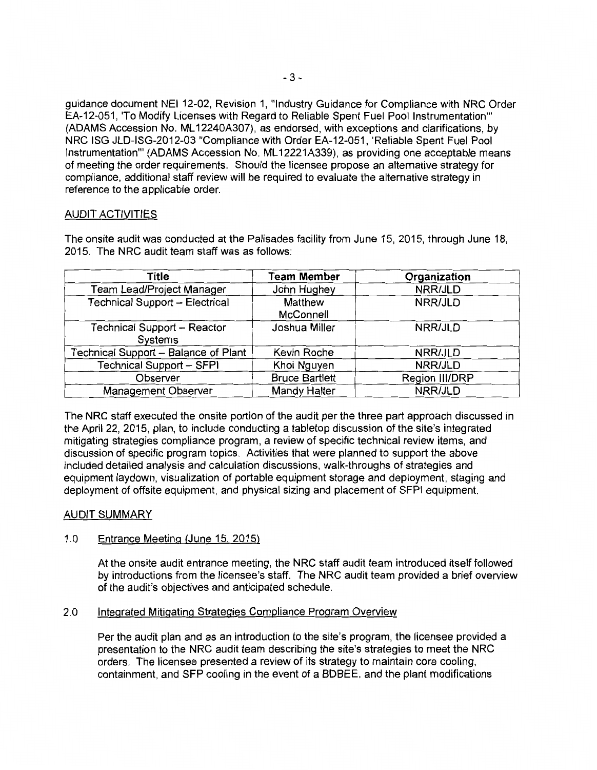guidance document NEI 12-02, Revision 1, "Industry Guidance for Compliance with NRC Order EA-12-051, 'To Modify Licenses with Regard to Reliable Spent Fuel Pool Instrumentation"' (ADAMS Accession No. ML 12240A307), as endorsed, with exceptions and clarifications, by NRC ISG JLD-ISG-2012-03 "Compliance with Order EA-12-051, 'Reliable Spent Fuel Pool Instrumentation"' (ADAMS Accession No. ML 12221A339), as providing one acceptable means of meeting the order requirements. Should the licensee propose an alternative strategy for compliance, additional staff review will be required to evaluate the alternative strategy in reference to the applicable order.

## AUDIT ACTIVITIES

| Title                                         | <b>Team Member</b>    | Organization   |
|-----------------------------------------------|-----------------------|----------------|
| Team Lead/Project Manager                     | John Hughey           | NRR/JLD        |
| Technical Support - Electrical                | Matthew<br>McConnell  | NRR/JLD        |
| <b>Technical Support - Reactor</b><br>Systems | Joshua Miller         | NRR/JLD        |
| Technical Support - Balance of Plant          | Kevin Roche           | NRR/JLD        |
| Technical Support - SFPI                      | Khoi Nguyen           | NRR/JLD        |
| Observer                                      | <b>Bruce Bartlett</b> | Region III/DRP |
| <b>Management Observer</b>                    | Mandy Halter          | NRR/JLD        |

The onsite audit was conducted at the Palisades facility from June 15, 2015, through June 18, 2015. The NRC audit team staff was as follows:

The NRC staff executed the onsite portion of the audit per the three part approach discussed in the April 22, 2015, plan, to include conducting a tabletop discussion of the site's integrated mitigating strategies compliance program, a review of specific technical review items, and discussion of specific program topics. Activities that were planned to support the above included detailed analysis and calculation discussions, walk-throughs of strategies and equipment laydown, visualization of portable equipment storage and deployment, staging and deployment of offsite equipment, and physical sizing and placement of SFPI equipment.

## AUDIT SUMMARY

## 1.0 Entrance Meeting (June 15. 2015)

At the onsite audit entrance meeting, the NRC staff audit team introduced itself followed by introductions from the licensee's staff. The NRC audit team provided a brief overview of the audit's objectives and anticipated schedule.

## 2.0 Integrated Mitigating Strategies Compliance Program Overview

Per the audit plan and as an introduction to the site's program, the licensee provided a presentation to the NRC audit team describing the site's strategies to meet the NRC orders. The licensee presented a review of its strategy to maintain core cooling, containment, and SFP cooling in the event of a BDBEE, and the plant modifications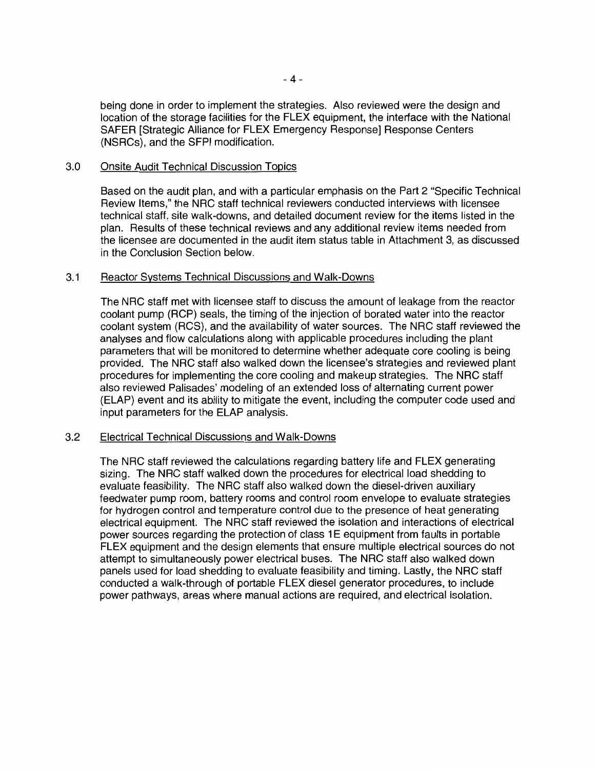being done in order to implement the strategies. Also reviewed were the design and location of the storage facilities for the FLEX equipment, the interface with the National SAFER [Strategic Alliance for FLEX Emergency Response] Response Centers (NSRCs), and the SFPI modification.

### 3.0 Onsite Audit Technical Discussion Topics

Based on the audit plan, and with a particular emphasis on the Part 2 "Specific Technical Review Items," the NRC staff technical reviewers conducted interviews with licensee technical staff, site walk-downs, and detailed document review for the items listed in the plan. Results of these technical reviews and any additional review items needed from the licensee are documented in the audit item status table in Attachment 3, as discussed in the Conclusion Section below.

### 3.1 Reactor Systems Technical Discussions and Walk-Downs

The NRC staff met with licensee staff to discuss the amount of leakage from the reactor coolant pump (RCP) seals, the timing of the injection of borated water into the reactor coolant system (RCS), and the availability of water sources. The NRC staff reviewed the analyses and flow calculations along with applicable procedures including the plant parameters that will be monitored to determine whether adequate core cooling is being provided. The NRC staff also walked down the licensee's strategies and reviewed plant procedures for implementing the core cooling and makeup strategies. The NRC staff also reviewed Palisades' modeling of an extended loss of alternating current power (ELAP) event and its ability to mitigate the event, including the computer code used and input parameters for the ELAP analysis.

## 3.2 Electrical Technical Discussions and Walk-Downs

The NRC staff reviewed the calculations regarding battery life and FLEX generating sizing. The NRC staff walked down the procedures for electrical load shedding to evaluate feasibility. The NRC staff also walked down the diesel-driven auxiliary feedwater pump room, battery rooms and control room envelope to evaluate strategies for hydrogen control and temperature control due to the presence of heat generating electrical equipment. The NRC staff reviewed the isolation and interactions of electrical power sources regarding the protection of class 1E equipment from faults in portable FLEX equipment and the design elements that ensure multiple electrical sources do not attempt to simultaneously power electrical buses. The NRC staff also walked down panels used for load shedding to evaluate feasibility and timing. Lastly, the NRC staff conducted a walk-through of portable FLEX diesel generator procedures, to include power pathways, areas where manual actions are required, and electrical isolation.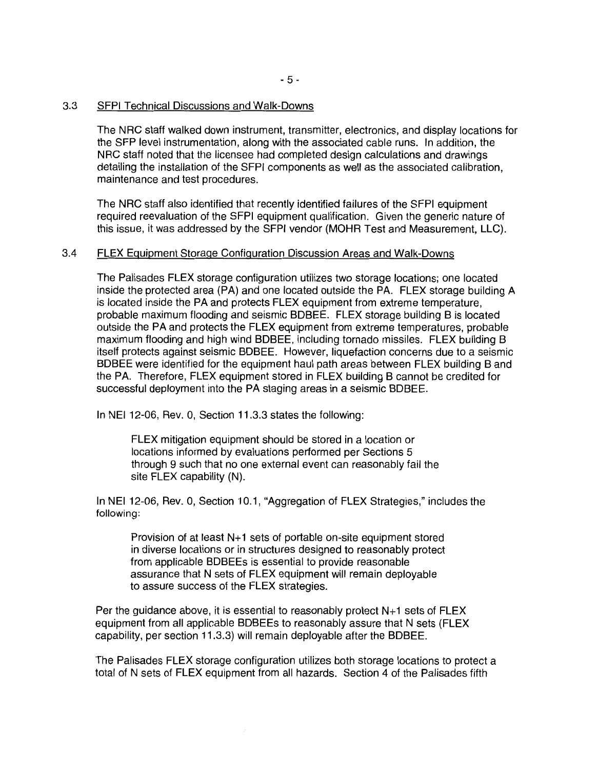#### 3.3 SFPI Technical Discussions and Walk-Downs

The NRC staff walked down instrument, transmitter, electronics, and display locations for the SFP level instrumentation, along with the associated cable runs. In addition, the NRC staff noted that the licensee had completed design calculations and drawings detailing the installation of the SFPI components as well as the associated calibration, maintenance and test procedures.

The NRC staff also identified that recently identified failures of the SFPI equipment required reevaluation of the SFPI equipment qualification. Given the generic nature of this issue, it was addressed by the SFPI vendor (MOHR Test and Measurement, LLC).

## 3.4 FLEX Equipment Storage Configuration Discussion Areas and Walk-Downs

The Palisades FLEX storage configuration utilizes two storage locations; one located inside the protected area (PA) and one located outside the PA. FLEX storage building A is located inside the PA and protects FLEX equipment from extreme temperature, probable maximum flooding and seismic BDBEE. FLEX storage building B is located outside the PA and protects the FLEX equipment from extreme temperatures, probable maximum flooding and high wind BDBEE, including tornado missiles. FLEX building B itself protects against seismic BDBEE. However, liquefaction concerns due to a seismic BDBEE were identified for the equipment haul path areas between FLEX building B and the PA. Therefore, FLEX equipment stored in FLEX building B cannot be credited for successful deployment into the PA staging areas in a seismic BDBEE.

In NEI 12-06, Rev. 0, Section 11.3.3 states the following:

FLEX mitigation equipment should be stored in a location or locations informed by evaluations performed per Sections 5 through 9 such that no one external event can reasonably fail the site FLEX capability (N).

In NEI 12-06, Rev. 0, Section 10.1, "Aggregation of FLEX Strategies," includes the following:

Provision of at least  $N+1$  sets of portable on-site equipment stored in diverse locations or in structures designed to reasonably protect from applicable BDBEEs is essential to provide reasonable assurance that N sets of FLEX equipment will remain deployable to assure success of the FLEX strategies.

Per the guidance above, it is essential to reasonably protect  $N+1$  sets of  $FLEX$ equipment from all applicable BDBEEs to reasonably assure that N sets (FLEX capability, per section 11.3.3) will remain deployable after the BDBEE.

The Palisades FLEX storage configuration utilizes both storage locations to protect a total of N sets of FLEX equipment from all hazards. Section 4 of the Palisades fifth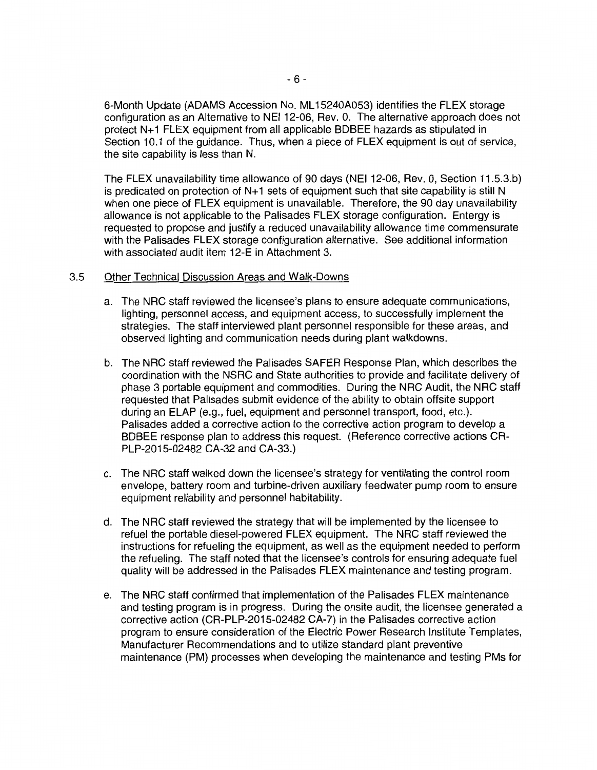6-Month Update (ADAMS Accession No. ML 15240A053) identifies the FLEX storage configuration as an Alternative to NEI 12-06, Rev. 0. The alternative approach does not protect N+ 1 FLEX equipment from all applicable BDBEE hazards as stipulated in Section 10.1 of the guidance. Thus, when a piece of FLEX equipment is out of service, the site capability is less than N.

The FLEX unavailability time allowance of 90 days (NEI 12-06, Rev. 0, Section 11.5.3.b) is predicated on protection of  $N+1$  sets of equipment such that site capability is still N when one piece of FLEX equipment is unavailable. Therefore, the 90 day unavailability allowance is not applicable to the Palisades FLEX storage configuration. Entergy is requested to propose and justify a reduced unavailability allowance time commensurate with the Palisades FLEX storage configuration alternative. See additional information with associated audit item 12-E in Attachment 3.

## 3.5 Other Technical Discussion Areas and Walk-Downs

- a. The NRC staff reviewed the licensee's plans to ensure adequate communications, lighting, personnel access, and equipment access, to successfully implement the strategies. The staff interviewed plant personnel responsible for these areas, and observed lighting and communication needs during plant walkdowns.
- b. The NRC staff reviewed the Palisades SAFER Response Plan, which describes the coordination with the NSRC and State authorities to provide and facilitate delivery of phase 3 portable equipment and commodities. During the NRC Audit, the NRC staff requested that Palisades submit evidence of the ability to obtain offsite support during an ELAP (e.g., fuel, equipment and personnel transport, food, etc.). Palisades added a corrective action to the corrective action program to develop a BDBEE response plan to address this request. (Reference corrective actions CR-PLP-2015-02482 CA-32 and CA-33.)
- c. The NRC staff walked down the licensee's strategy for ventilating the control room envelope, battery room and turbine-driven auxiliary feedwater pump room to ensure equipment reliability and personnel habitability.
- d. The NRC staff reviewed the strategy that will be implemented by the licensee to refuel the portable diesel-powered FLEX equipment. The NRC staff reviewed the instructions for refueling the equipment, as well as the equipment needed to perform the refueling. The staff noted that the licensee's controls for ensuring adequate fuel quality will be addressed in the Palisades FLEX maintenance and testing program.
- e. The NRC staff confirmed that implementation of the Palisades FLEX maintenance and testing program is in progress. During the onsite audit, the licensee generated a corrective action (CR-PLP-2015-02482 CA-7) in the Palisades corrective action program to ensure consideration of the Electric Power Research Institute Templates, Manufacturer Recommendations and to utilize standard plant preventive maintenance (PM) processes when developing the maintenance and testing PMs for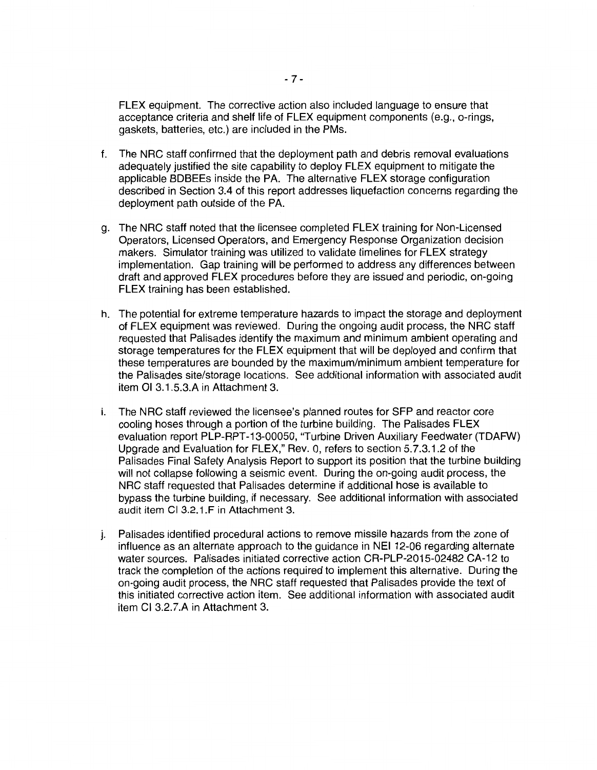FLEX equipment. The corrective action also included language to ensure that acceptance criteria and shelf life of FLEX equipment components (e.g., a-rings, gaskets, batteries, etc.) are included in the PMs.

- f. The NRG staff confirmed that the deployment path and debris removal evaluations adequately justified the site capability to deploy FLEX equipment to mitigate the applicable BDBEEs inside the PA. The alternative FLEX storage configuration described in Section 3.4 of this report addresses liquefaction concerns regarding the deployment path outside of the PA.
- g. The NRG staff noted that the licensee completed FLEX training for Non-Licensed Operators, Licensed Operators, and Emergency Response Organization decision makers. Simulator training was utilized to validate timelines for FLEX strategy implementation. Gap training will be performed to address any differences between draft and approved FLEX procedures before they are issued and periodic, on-going FLEX training has been established.
- h. The potential for extreme temperature hazards to impact the storage and deployment of FLEX equipment was reviewed. During the ongoing audit process, the NRG staff requested that Palisades identify the maximum and minimum ambient operating and storage temperatures for the FLEX equipment that will be deployed and confirm that these temperatures are bounded by the maximum/minimum ambient temperature for the Palisades site/storage locations. See additional information with associated audit item 01 3.1.5.3.A in Attachment 3.
- i. The NRG staff reviewed the licensee's planned routes for SFP and reactor core cooling hoses through a portion of the turbine building. The Palisades FLEX evaluation report PLP-RPT-13-00050, "Turbine Driven Auxiliary Feedwater (TDAFW) Upgrade and Evaluation for FLEX," Rev. 0, refers to section 5.7.3.1.2 of the Palisades Final Safety Analysis Report to support its position that the turbine building will not collapse following a seismic event. During the on-going audit process, the NRG staff requested that Palisades determine if additional hose is available to bypass the turbine building, if necessary. See additional information with associated audit item Cl 3.2.1.F in Attachment 3.
- j. Palisades identified procedural actions to remove missile hazards from the zone of influence as an alternate approach to the guidance in NEI 12-06 regarding alternate water sources. Palisades initiated corrective action CR-PLP-2015-02482 CA-12 to track the completion of the actions required to implement this alternative. During the on-going audit process, the NRG staff requested that Palisades provide the text of this initiated corrective action item. See additional information with associated audit item Cl 3.2.7.A in Attachment 3.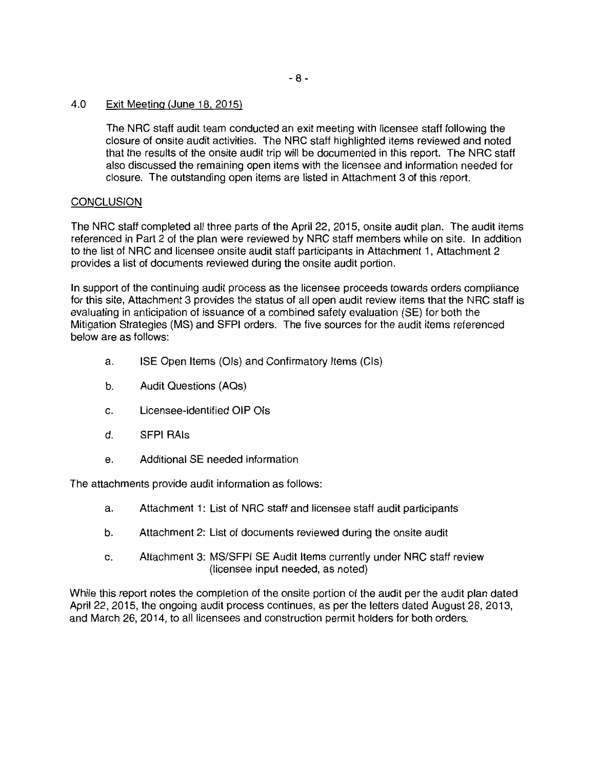### 4.0 Exit Meeting (June 18, 2015)

The NRC staff audit team conducted an exit meeting with licensee staff following the closure of onsite audit activities. The NRC staff highlighted items reviewed and noted that the results of the onsite audit trip will be documented in this report. The NRC staff also discussed the remaining open items with the licensee and information needed for closure. The outstanding open items are listed in Attachment 3 of this report.

## **CONCLUSION**

The NRC staff completed all three parts of the April 22, 2015, onsite audit plan. The audit items referenced in Part 2 of the plan were reviewed by NRC staff members while on site. In addition to the list of NRC and licensee onsite audit staff participants in Attachment 1, Attachment 2 provides a list of documents reviewed during the onsite audit portion.

In support of the continuing audit process as the licensee proceeds towards orders compliance for this site, Attachment 3 provides the status of all open audit review items that the NRC staff is evaluating in anticipation of issuance of a combined safety evaluation (SE) for both the Mitigation Strategies (MS) and SFPI orders. The five sources for the audit items referenced below are as follows:

- a. ISE Open Items (Ols) and Confirmatory Items (Cls)
- b. Audit Questions (AQs)
- c. Licensee-identified OIP Ols
- d. SFPI RAls
- e. Additional SE needed information

The attachments provide audit information as follows:

- a. Attachment 1: List of NRC staff and licensee staff audit participants
- b. Attachment 2: List of documents reviewed during the onsite audit
- c. Attachment 3: MS/SFPI SE Audit Items currently under NRC staff review (licensee input needed, as noted)

While this report notes the completion of the onsite portion of the audit per the audit plan dated April 22, 2015, the ongoing audit process continues, as per the letters dated August 28, 2013, and March 26, 2014, to all licensees and construction permit holders for both orders.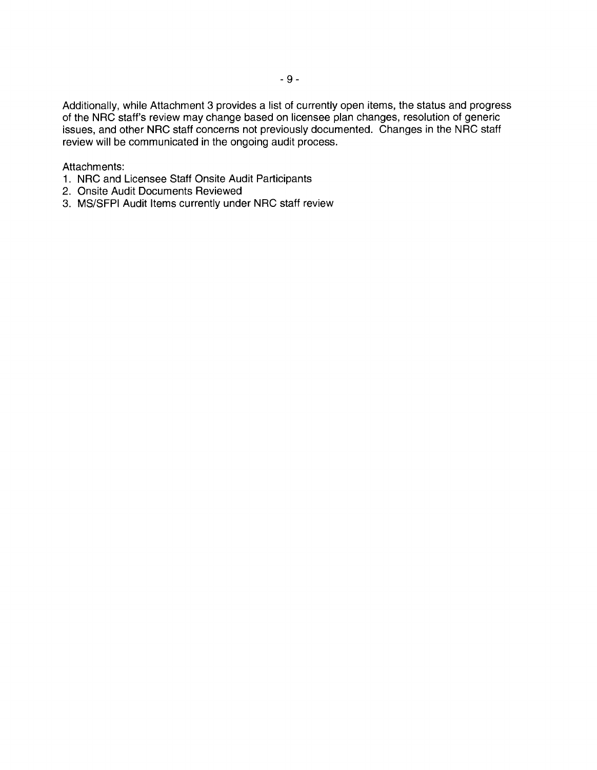Additionally, while Attachment 3 provides a list of currently open items, the status and progress of the NRC staff's review may change based on licensee plan changes, resolution of generic issues, and other NRC staff concerns not previously documented. Changes in the NRC staff review will be communicated in the ongoing audit process.

### Attachments:

- 1. NRC and Licensee Staff Onsite Audit Participants
- 2. Onsite Audit Documents Reviewed
- 3. MS/SFPI Audit Items currently under NRC staff review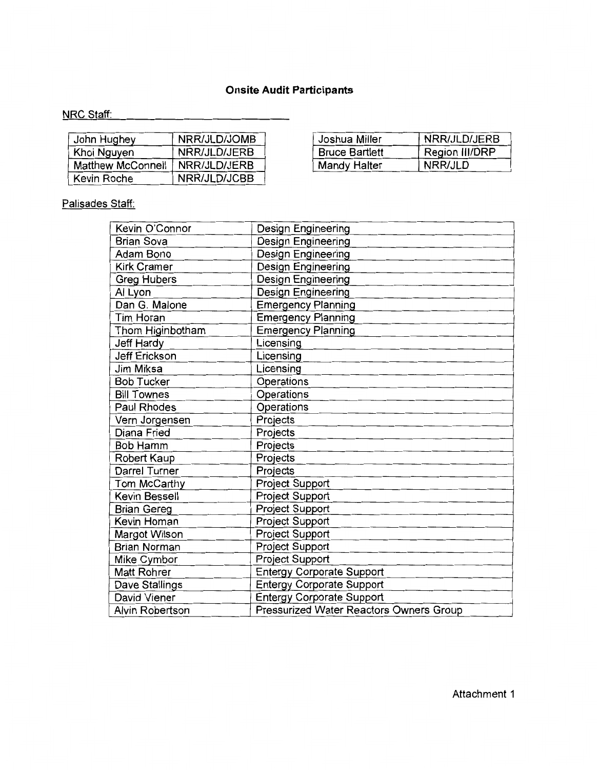# **Onsite Audit Participants**

# NRC Staff:

| John Hughey       | NRR/JLD/JOMB | Joshua Miller         | NRR/JLD/JERB   |
|-------------------|--------------|-----------------------|----------------|
| Khoi Nguyen       | NRR/JLD/JERB | <b>Bruce Bartlett</b> | Region III/DRP |
| Matthew McConnell | NRR/JLD/JERB | Mandy Halter          | NRR/JLD        |
| Kevin Roche       | NRR/JLD/JCBB |                       |                |

| Joshua Miller         | NRR/JLD/JERB   |
|-----------------------|----------------|
| <b>Bruce Bartlett</b> | Region III/DRP |
| Mandy Halter          | NRR/JLD        |

# Palisades Staff:

| Kevin O'Connor         | Design Engineering                             |  |
|------------------------|------------------------------------------------|--|
| <b>Brian Sova</b>      | Design Engineering                             |  |
| Adam Bono              | Design Engineering                             |  |
| <b>Kirk Cramer</b>     | Design Engineering                             |  |
| <b>Greg Hubers</b>     | Design Engineering                             |  |
| Al Lyon                | Design Engineering                             |  |
| Dan G. Malone          | <b>Emergency Planning</b>                      |  |
| Tim Horan              | <b>Emergency Planning</b>                      |  |
| Thom Higinbotham       | <b>Emergency Planning</b>                      |  |
| Jeff Hardy             | Licensing                                      |  |
| <b>Jeff Erickson</b>   | Licensing                                      |  |
| Jim Miksa              | Licensing                                      |  |
| <b>Bob Tucker</b>      | Operations                                     |  |
| <b>Bill Townes</b>     | Operations                                     |  |
| Paul Rhodes            | Operations                                     |  |
| Vern Jorgensen         | Projects                                       |  |
| Diana Fried            | Projects                                       |  |
| <b>Bob Hamm</b>        | Projects                                       |  |
| Robert Kaup            | Projects                                       |  |
| Darrel Turner          | Projects                                       |  |
| Tom McCarthy           | <b>Project Support</b>                         |  |
| Kevin Bessell          | Project Support                                |  |
| <b>Brian Gereg</b>     | Project Support                                |  |
| Kevin Homan            | <b>Project Support</b>                         |  |
| Margot Wilson          | Project Support                                |  |
| <b>Brian Norman</b>    | <b>Project Support</b>                         |  |
| Mike Cymbor            | Project Support                                |  |
| Matt Rohrer            | <b>Entergy Corporate Support</b>               |  |
| Dave Stallings         | <b>Entergy Corporate Support</b>               |  |
| David Viener           | <b>Entergy Corporate Support</b>               |  |
| <b>Alvin Robertson</b> | <b>Pressurized Water Reactors Owners Group</b> |  |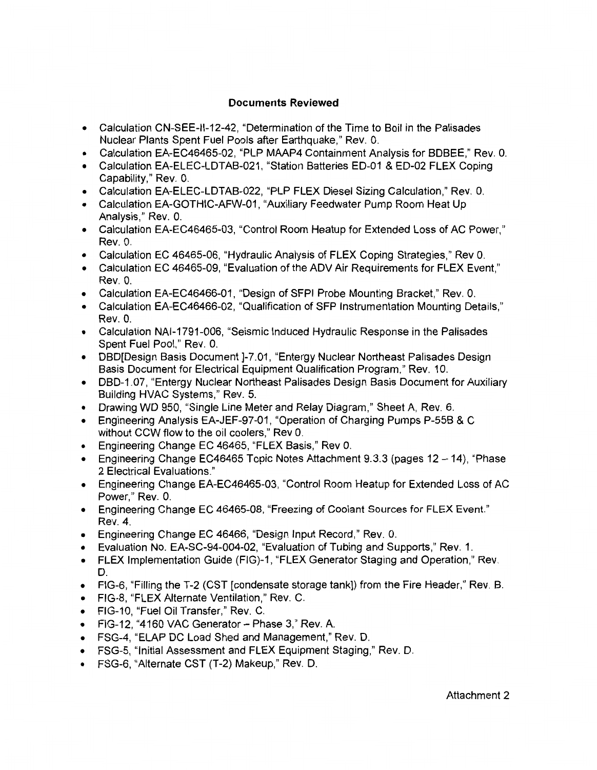## **Documents Reviewed**

- Calculation CN-SEE-11-12-42, "Determination of the Time to Boil in the Palisades Nuclear Plants Spent Fuel Pools after Earthquake," Rev. 0.
- Calculation EA-EC46465-02, "PLP MAAP4 Containment Analysis for BDBEE," Rev. 0.
- Calculation EA-ELEC-LDTAB-021, "Station Batteries ED-01 & ED-02 FLEX Coping Capability," Rev. 0.
- Calculation EA-ELEC-LDTAB-022, "PLP FLEX Diesel Sizing Calculation," Rev. 0.
- Calculation EA-GOTHIC-AFW-01, "Auxiliary Feedwater Pump Room Heat Up Analysis," Rev. 0.
- Calculation EA-EC46465-03, "Control Room Heatup for Extended Loss of AC Power," Rev. 0.
- Calculation EC 46465-06, "Hydraulic Analysis of FLEX Coping Strategies," Rev 0.
- Calculation EC 46465-09, "Evaluation of the ADV Air Requirements for FLEX Event,'' Rev. 0.
- Calculation EA-EC46466-01, "Design of SFPI Probe Mounting Bracket," Rev. 0.
- Calculation EA-EC46466-02, "Qualification of SFP Instrumentation Mounting Details," Rev. 0.
- Calculation NAl-1791-006, "Seismic Induced Hydraulic Response in the Palisades Spent Fuel Pool," Rev. 0.
- DBDIDesign Basis Document 1-7.01, "Entergy Nuclear Northeast Palisades Design Basis Document for Electrical Equipment Qualification Program," Rev. 10.
- DBD-1.07, "Entergy Nuclear Northeast Palisades Design Basis Document for Auxiliary Building HVAC Systems," Rev. 5.
- Drawing WD 950, "Single Line Meter and Relay Diagram," Sheet A, Rev. 6.
- Engineering Analysis EA-JEF-97-01, "Operation of Charging Pumps P-55B & C without CCW flow to the oil coolers," Rev 0.
- Engineering Change EC 46465, "FLEX Basis," Rev 0.
- Engineering Change EC46465 Topic Notes Attachment  $9.3.3$  (pages  $12 14$ ), "Phase 2 Electrical Evaluations."
- Engineering Change EA-EC46465-03, "Control Room Heatup for Extended Loss of AC Power," Rev. 0.
- Engineering Change EC 46465-08, "Freezing of Coolant Sources for FLEX Event." Rev. 4.
- Engineering Change EC 46466, "Design Input Record," Rev. 0.
- Evaluation No. EA-SC-94-004-02, "Evaluation of Tubing and Supports," Rev. 1.
- FLEX Implementation Guide (FIG)-1, "FLEX Generator Staging and Operation," Rev. D.
- FIG-6, "Filling the T-2 (CST [condensate storage tank]) from the Fire Header," Rev. B.
- FIG-8, "FLEX Alternate Ventilation," Rev. C.
- FIG-10, "Fuel Oil Transfer," Rev. C.
- $\bullet$  FIG-12, "4160 VAC Generator Phase 3," Rev. A.
- FSG-4, "ELAP DC Load Shed and Management," Rev. D.
- FSG-5, "Initial Assessment and FLEX Equipment Staging," Rev. D.
- FSG-6, "Alternate CST (T-2) Makeup," Rev. D.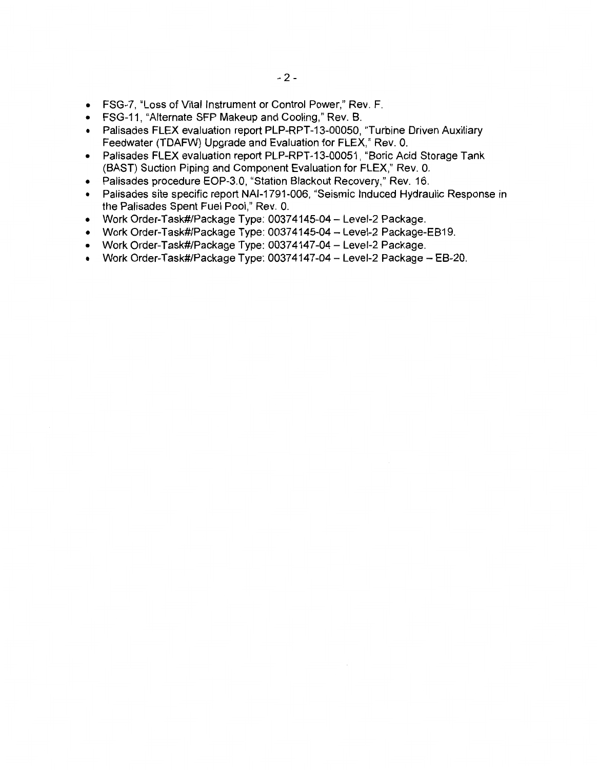- FSG-7, "Loss of Vital Instrument or Control Power," Rev. F.
- FSG-11, "Alternate SFP Makeup and Cooling," Rev. B.
- Palisades FLEX evaluation report PLP-RPT-13-00050, "Turbine Driven Auxiliary Feedwater (TDAFW) Upgrade and Evaluation for FLEX," Rev. 0.
- Palisades FLEX evaluation report PLP-RPT-13-00051, "Boric Acid Storage Tank (BAST) Suction Piping and Component Evaluation for FLEX," Rev. 0.
- Palisades procedure EOP-3.0, "Station Blackout Recovery," Rev. 16.
- Palisades site specific report NAl-1791-006, "Seismic Induced Hydraulic Response in the Palisades Spent Fuel Pool," Rev. 0.
- Work Order-Task#/Package Type: 00374145-04 Level-2 Package.
- Work Order-Task#/Package Type: 00374145-04 Level-2 Package-EB19.
- Work Order-Task#/Package Type: 00374147-04 Level-2 Package.
- Work Order-Task#/Package Type: 00374147-04 Level-2 Package EB-20.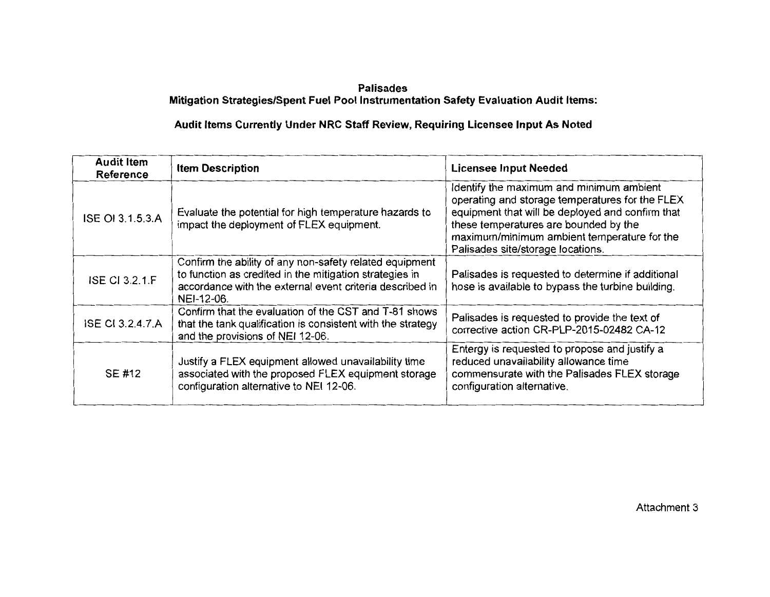## **Palisades Mitigation Strategies/Spent Fuel Pool Instrumentation Safety Evaluation Audit Items:**

# **Audit Items Currently Under NRC Staff Review, Requiring Licensee Input As Noted**

| <b>Audit Item</b><br><b>Reference</b>                                                                                                                                               | <b>Item Description</b>                                                                                                                                                                      | <b>Licensee Input Needed</b>                                                                                                                                                                                                                                                 |
|-------------------------------------------------------------------------------------------------------------------------------------------------------------------------------------|----------------------------------------------------------------------------------------------------------------------------------------------------------------------------------------------|------------------------------------------------------------------------------------------------------------------------------------------------------------------------------------------------------------------------------------------------------------------------------|
| ISE OI 3.1.5.3.A                                                                                                                                                                    | Evaluate the potential for high temperature hazards to<br>impact the deployment of FLEX equipment.                                                                                           | Identify the maximum and minimum ambient<br>operating and storage temperatures for the FLEX<br>equipment that will be deployed and confirm that<br>these temperatures are bounded by the<br>maximum/minimum ambient temperature for the<br>Palisades site/storage locations. |
| <b>ISE CI 3.2.1 F</b>                                                                                                                                                               | Confirm the ability of any non-safety related equipment<br>to function as credited in the mitigation strategies in<br>accordance with the external event criteria described in<br>NEI-12-06. | Palisades is requested to determine if additional<br>hose is available to bypass the turbine building.                                                                                                                                                                       |
| Confirm that the evaluation of the CST and T-81 shows<br><b>ISE CI 3.2.4.7.A</b><br>that the tank qualification is consistent with the strategy<br>and the provisions of NEI 12-06. |                                                                                                                                                                                              | Palisades is requested to provide the text of<br>corrective action CR-PLP-2015-02482 CA-12                                                                                                                                                                                   |
| SE #12                                                                                                                                                                              | Justify a FLEX equipment allowed unavailability time<br>associated with the proposed FLEX equipment storage<br>configuration alternative to NEI 12-06.                                       | Entergy is requested to propose and justify a<br>reduced unavailability allowance time<br>commensurate with the Palisades FLEX storage<br>configuration alternative.                                                                                                         |

Attachment 3